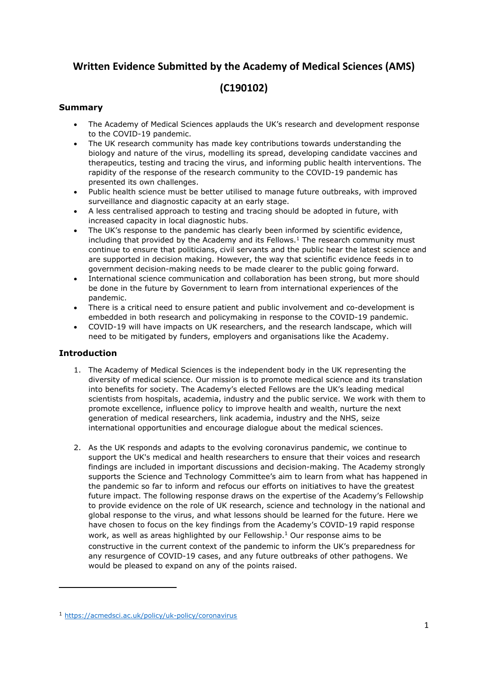# **Written Evidence Submitted by the Academy of Medical Sciences (AMS)**

# <span id="page-0-0"></span>**(C190102)**

# **Summary**

- The Academy of Medical Sciences applauds the UK's research and development response to the COVID-19 pandemic.
- The UK research community has made key contributions towards understanding the biology and nature of the virus, modelling its spread, developing candidate vaccines and therapeutics, testing and tracing the virus, and informing public health interventions. The rapidity of the response of the research community to the COVID-19 pandemic has presented its own challenges.
- Public health science must be better utilised to manage future outbreaks, with improved surveillance and diagnostic capacity at an early stage.
- A less centralised approach to testing and tracing should be adopted in future, with increased capacity in local diagnostic hubs.
- The UK's response to the pandemic has clearly been informed by scientific evidence, including that provided by the Academy and its Fellows.<sup>1</sup> The research community must continue to ensure that politicians, civil servants and the public hear the latest science and are supported in decision making. However, the way that scientific evidence feeds in to government decision-making needs to be made clearer to the public going forward.
- International science communication and collaboration has been strong, but more should be done in the future by Government to learn from international experiences of the pandemic.
- There is a critical need to ensure patient and public involvement and co-development is embedded in both research and policymaking in response to the COVID-19 pandemic.
- COVID-19 will have impacts on UK researchers, and the research landscape, which will need to be mitigated by funders, employers and organisations like the Academy.

# **Introduction**

- 1. The Academy of Medical Sciences is the independent body in the UK representing the diversity of medical science. Our mission is to promote medical science and its translation into benefits for society. The Academy's elected Fellows are the UK's leading medical scientists from hospitals, academia, industry and the public service. We work with them to promote excellence, influence policy to improve health and wealth, nurture the next generation of medical researchers, link academia, industry and the NHS, seize international opportunities and encourage dialogue about the medical sciences.
- 2. As the UK responds and adapts to the evolving coronavirus pandemic, we continue to support the UK's medical and health researchers to ensure that their voices and research findings are included in important discussions and decision-making. The Academy strongly supports the Science and Technology Committee's aim to learn from what has happened in the pandemic so far to inform and refocus our efforts on initiatives to have the greatest future impact. The following response draws on the expertise of the Academy's Fellowship to provide evidence on the role of UK research, science and technology in the national and global response to the virus, and what lessons should be learned for the future. Here we have chosen to focus on the key findings from the Academy's COVID-19 rapid response work, as well as areas highlighted by our Fellowship.[1](#page-0-0) Our response aims to be constructive in the current context of the pandemic to inform the UK's preparedness for any resurgence of COVID-19 cases, and any future outbreaks of other pathogens. We would be pleased to expand on any of the points raised.

<sup>1</sup> <https://acmedsci.ac.uk/policy/uk-policy/coronavirus>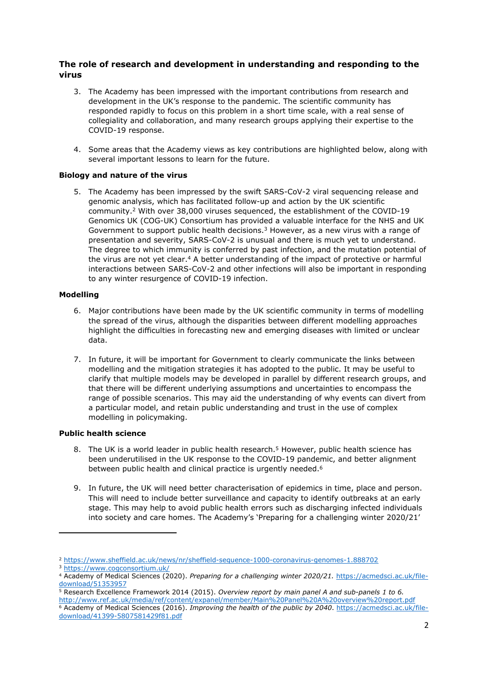# **The role of research and development in understanding and responding to the virus**

- 3. The Academy has been impressed with the important contributions from research and development in the UK's response to the pandemic. The scientific community has responded rapidly to focus on this problem in a short time scale, with a real sense of collegiality and collaboration, and many research groups applying their expertise to the COVID-19 response.
- 4. Some areas that the Academy views as key contributions are highlighted below, along with several important lessons to learn for the future.

# **Biology and nature of the virus**

5. The Academy has been impressed by the swift SARS-CoV-2 viral sequencing release and genomic analysis, which has facilitated follow-up and action by the UK scientific community.<sup>2</sup> With over 38,000 viruses sequenced, the establishment of the COVID-19 Genomics UK (COG-UK) Consortium has provided a valuable interface for the NHS and UK Government to support public health decisions.<sup>3</sup> However, as a new virus with a range of presentation and severity, SARS-CoV-2 is unusual and there is much yet to understand. The degree to which immunity is conferred by past infection, and the mutation potential of the virus are not yet clear.<sup>4</sup> A better understanding of the impact of protective or harmful interactions between SARS-CoV-2 and other infections will also be important in responding to any winter resurgence of COVID-19 infection.

### **Modelling**

- <span id="page-1-0"></span>6. Major contributions have been made by the UK scientific community in terms of modelling the spread of the virus, although the disparities between different modelling approaches highlight the difficulties in forecasting new and emerging diseases with limited or unclear data.
- 7. In future, it will be important for Government to clearly communicate the links between modelling and the mitigation strategies it has adopted to the public. It may be useful to clarify that multiple models may be developed in parallel by different research groups, and that there will be different underlying assumptions and uncertainties to encompass the range of possible scenarios. This may aid the understanding of why events can divert from a particular model, and retain public understanding and trust in the use of complex modelling in policymaking.

### **Public health science**

- 8. The UK is a world leader in public health research.<sup>5</sup> However, public health science has been underutilised in the UK response to the COVID-19 pandemic, and better alignment between public health and clinical practice is urgently needed.<sup>6</sup>
- 9. In future, the UK will need better characterisation of epidemics in time, place and person. This will need to include better surveillance and capacity to identify outbreaks at an early stage. This may help to avoid public health errors such as discharging infected individuals into society and care homes. The Academy's 'Preparing for a challenging winter 2020/21'

<sup>2</sup> <https://www.sheffield.ac.uk/news/nr/sheffield-sequence-1000-coronavirus-genomes-1.888702>

<sup>3</sup> <https://www.cogconsortium.uk/>

<sup>4</sup> Academy of Medical Sciences (2020). *Preparing for a challenging winter 2020/21.* [https://acmedsci.ac.uk/file](https://acmedsci.ac.uk/file-download/51353957)[download/51353957](https://acmedsci.ac.uk/file-download/51353957)

<sup>5</sup> Research Excellence Framework 2014 (2015). *Overview report by main panel A and sub-panels 1 to 6.*

<http://www.ref.ac.uk/media/ref/content/expanel/member/Main%20Panel%20A%20overview%20report.pdf> <sup>6</sup> Academy of Medical Sciences (2016). *Improving the health of the public by 2040*. [https://acmedsci.ac.uk/file](https://acmedsci.ac.uk/file-download/41399-5807581429f81.pdf)[download/41399-5807581429f81.pdf](https://acmedsci.ac.uk/file-download/41399-5807581429f81.pdf)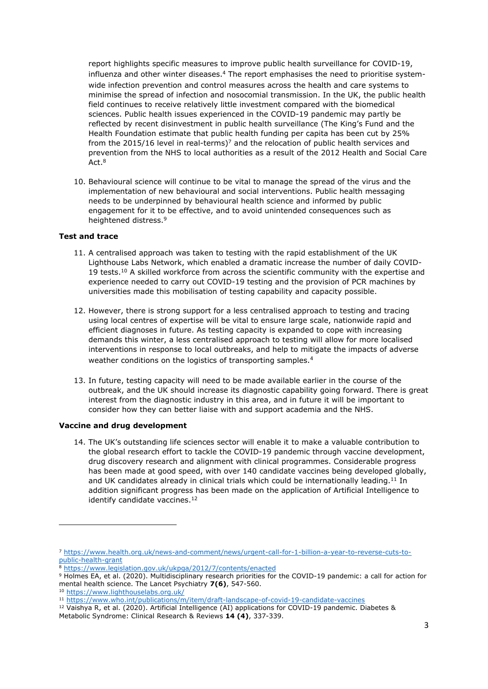report highlights specific measures to improve public health surveillance for COVID-19, influenza and other winter diseases. $4$  The report emphasises the need to prioritise systemwide infection prevention and control measures across the health and care systems to minimise the spread of infection and nosocomial transmission. In the UK, the public health field continues to receive relatively little investment compared with the biomedical sciences. Public health issues experienced in the COVID-19 pandemic may partly be reflected by recent disinvestment in public health surveillance (The King's Fund and the Health Foundation estimate that public health funding per capita has been cut by 25% from the 2015/16 level in real-terms)<sup>7</sup> and the relocation of public health services and prevention from the NHS to local authorities as a result of the 2012 Health and Social Care Act.<sup>8</sup>

10. Behavioural science will continue to be vital to manage the spread of the virus and the implementation of new behavioural and social interventions. Public health messaging needs to be underpinned by behavioural health science and informed by public engagement for it to be effective, and to avoid unintended consequences such as heightened distress.<sup>9</sup>

### **Test and trace**

- <span id="page-2-0"></span>11. A centralised approach was taken to testing with the rapid establishment of the UK Lighthouse Labs Network, which enabled a dramatic increase the number of daily COVID-19 tests.<sup>10</sup> A skilled workforce from across the scientific community with the expertise and experience needed to carry out COVID-19 testing and the provision of PCR machines by universities made this mobilisation of testing capability and capacity possible.
- 12. However, there is strong support for a less centralised approach to testing and tracing using local centres of expertise will be vital to ensure large scale, nationwide rapid and efficient diagnoses in future. As testing capacity is expanded to cope with increasing demands this winter, a less centralised approach to testing will allow for more localised interventions in response to local outbreaks, and help to mitigate the impacts of adverse weather conditions on the logistics of transporting samples.<sup>[4](#page-1-0)</sup>
- 13. In future, testing capacity will need to be made available earlier in the course of the outbreak, and the UK should increase its diagnostic capability going forward. There is great interest from the diagnostic industry in this area, and in future it will be important to consider how they can better liaise with and support academia and the NHS.

### **Vaccine and drug development**

14. The UK's outstanding life sciences sector will enable it to make a valuable contribution to the global research effort to tackle the COVID-19 pandemic through vaccine development, drug discovery research and alignment with clinical programmes. Considerable progress has been made at good speed, with over 140 candidate vaccines being developed globally, and UK candidates already in clinical trials which could be internationally leading.<sup>11</sup> In addition significant progress has been made on the application of Artificial Intelligence to identify candidate vaccines.<sup>12</sup>

<sup>7</sup> [https://www.health.org.uk/news-and-comment/news/urgent-call-for-1-billion-a-year-to-reverse-cuts-to](https://www.health.org.uk/news-and-comment/news/urgent-call-for-1-billion-a-year-to-reverse-cuts-to-public-health-grant)[public-health-grant](https://www.health.org.uk/news-and-comment/news/urgent-call-for-1-billion-a-year-to-reverse-cuts-to-public-health-grant)

<sup>8</sup> <https://www.legislation.gov.uk/ukpga/2012/7/contents/enacted>

<sup>9</sup> Holmes EA, et al. (2020). Multidisciplinary research priorities for the COVID-19 pandemic: a call for action for mental health science. The Lancet Psychiatry **7(6)**, 547-560.

<sup>10</sup> <https://www.lighthouselabs.org.uk/>

<sup>11</sup> <https://www.who.int/publications/m/item/draft-landscape-of-covid-19-candidate-vaccines>

<sup>&</sup>lt;sup>12</sup> Vaishya R, et al. (2020). Artificial Intelligence (AI) applications for COVID-19 pandemic. Diabetes & Metabolic Syndrome: Clinical Research & Reviews **14 (4)**, 337-339.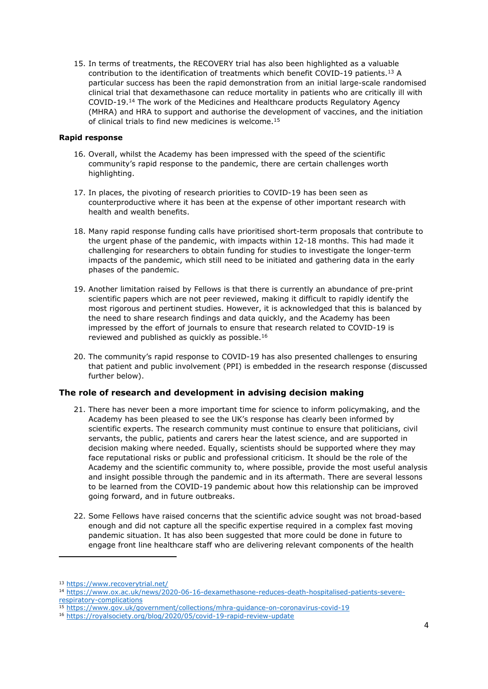15. In terms of treatments, the RECOVERY trial has also been highlighted as a valuable contribution to the identification of treatments which benefit COVID-19 patients.<sup>13</sup> A particular success has been the rapid demonstration from an initial large-scale randomised clinical trial that dexamethasone can reduce mortality in patients who are critically ill with COVID-19.<sup>14</sup> The work of the Medicines and Healthcare products Regulatory Agency (MHRA) and HRA to support and authorise the development of vaccines, and the initiation of clinical trials to find new medicines is welcome.<sup>15</sup>

### **Rapid response**

- 16. Overall, whilst the Academy has been impressed with the speed of the scientific community's rapid response to the pandemic, there are certain challenges worth highlighting.
- 17. In places, the pivoting of research priorities to COVID-19 has been seen as counterproductive where it has been at the expense of other important research with health and wealth benefits.
- 18. Many rapid response funding calls have prioritised short-term proposals that contribute to the urgent phase of the pandemic, with impacts within 12-18 months. This had made it challenging for researchers to obtain funding for studies to investigate the longer-term impacts of the pandemic, which still need to be initiated and gathering data in the early phases of the pandemic.
- 19. Another limitation raised by Fellows is that there is currently an abundance of pre-print scientific papers which are not peer reviewed, making it difficult to rapidly identify the most rigorous and pertinent studies. However, it is acknowledged that this is balanced by the need to share research findings and data quickly, and the Academy has been impressed by the effort of journals to ensure that research related to COVID-19 is reviewed and published as quickly as possible.<sup>16</sup>
- 20. The community's rapid response to COVID-19 has also presented challenges to ensuring that patient and public involvement (PPI) is embedded in the research response (discussed further below).

# **The role of research and development in advising decision making**

- 21. There has never been a more important time for science to inform policymaking, and the Academy has been pleased to see the UK's response has clearly been informed by scientific experts. The research community must continue to ensure that politicians, civil servants, the public, patients and carers hear the latest science, and are supported in decision making where needed. Equally, scientists should be supported where they may face reputational risks or public and professional criticism. It should be the role of the Academy and the scientific community to, where possible, provide the most useful analysis and insight possible through the pandemic and in its aftermath. There are several lessons to be learned from the COVID-19 pandemic about how this relationship can be improved going forward, and in future outbreaks.
- 22. Some Fellows have raised concerns that the scientific advice sought was not broad-based enough and did not capture all the specific expertise required in a complex fast moving pandemic situation. It has also been suggested that more could be done in future to engage front line healthcare staff who are delivering relevant components of the health

<sup>13</sup> <https://www.recoverytrial.net/>

<sup>14</sup> [https://www.ox.ac.uk/news/2020-06-16-dexamethasone-reduces-death-hospitalised-patients-severe](https://www.ox.ac.uk/news/2020-06-16-dexamethasone-reduces-death-hospitalised-patients-severe-respiratory-complications)[respiratory-complications](https://www.ox.ac.uk/news/2020-06-16-dexamethasone-reduces-death-hospitalised-patients-severe-respiratory-complications)

<sup>15</sup> <https://www.gov.uk/government/collections/mhra-guidance-on-coronavirus-covid-19>

<sup>16</sup> <https://royalsociety.org/blog/2020/05/covid-19-rapid-review-update>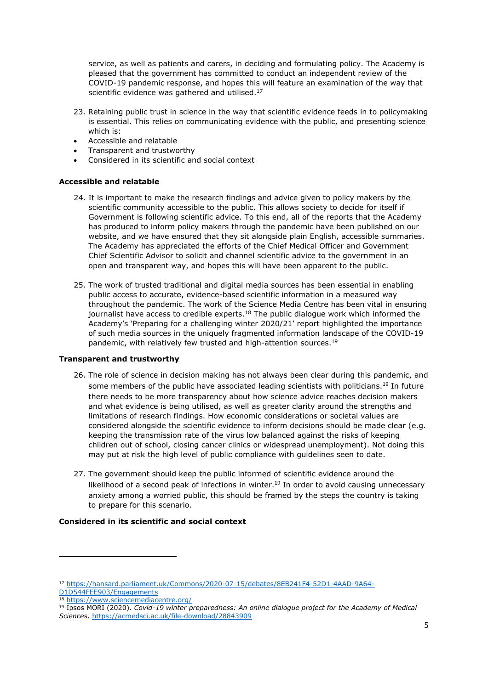service, as well as patients and carers, in deciding and formulating policy. The Academy is pleased that the government has committed to conduct an independent review of the COVID-19 pandemic response, and hopes this will feature an examination of the way that scientific evidence was gathered and utilised.<sup>17</sup>

- 23. Retaining public trust in science in the way that scientific evidence feeds in to policymaking is essential. This relies on communicating evidence with the public, and presenting science which is:
- Accessible and relatable
- Transparent and trustworthy
- Considered in its scientific and social context

### **Accessible and relatable**

- 24. It is important to make the research findings and advice given to policy makers by the scientific community accessible to the public. This allows society to decide for itself if Government is following scientific advice. To this end, all of the reports that the Academy has produced to inform policy makers through the pandemic have been published on our website, and we have ensured that they sit alongside plain English, accessible summaries. The Academy has appreciated the efforts of the Chief Medical Officer and Government Chief Scientific Advisor to solicit and channel scientific advice to the government in an open and transparent way, and hopes this will have been apparent to the public.
- 25. The work of trusted traditional and digital media sources has been essential in enabling public access to accurate, evidence-based scientific information in a measured way throughout the pandemic. The work of the Science Media Centre has been vital in ensuring journalist have access to credible experts.<sup>18</sup> The public dialogue work which informed the Academy's 'Preparing for a challenging winter 2020/21' report highlighted the importance of such media sources in the uniquely fragmented information landscape of the COVID-19 pandemic, with relatively few trusted and high-attention sources.<sup>19</sup>

### **Transparent and trustworthy**

- <span id="page-4-0"></span>26. The role of science in decision making has not always been clear during this pandemic, and some members of the public have associated leading scientists with politicians.<sup>[19](#page-4-0)</sup> In future there needs to be more transparency about how science advice reaches decision makers and what evidence is being utilised, as well as greater clarity around the strengths and limitations of research findings. How economic considerations or societal values are considered alongside the scientific evidence to inform decisions should be made clear (e.g. keeping the transmission rate of the virus low balanced against the risks of keeping children out of school, closing cancer clinics or widespread unemployment). Not doing this may put at risk the high level of public compliance with guidelines seen to date.
- 27. The government should keep the public informed of scientific evidence around the likelihood of a second peak of infections in winter.<sup>[19](#page-4-0)</sup> In order to avoid causing unnecessary anxiety among a worried public, this should be framed by the steps the country is taking to prepare for this scenario.

### **Considered in its scientific and social context**

<sup>17</sup> [https://hansard.parliament.uk/Commons/2020-07-15/debates/8EB241F4-52D1-4AAD-9A64-](https://hansard.parliament.uk/Commons/2020-07-15/debates/8EB241F4-52D1-4AAD-9A64-D1D544FEE903/Engagements)

[D1D544FEE903/Engagements](https://hansard.parliament.uk/Commons/2020-07-15/debates/8EB241F4-52D1-4AAD-9A64-D1D544FEE903/Engagements)

<sup>18</sup> <https://www.sciencemediacentre.org/>

<sup>19</sup> Ipsos MORI (2020). *Covid-19 winter preparedness: An online dialogue project for the Academy of Medical Sciences.* <https://acmedsci.ac.uk/file-download/28843909>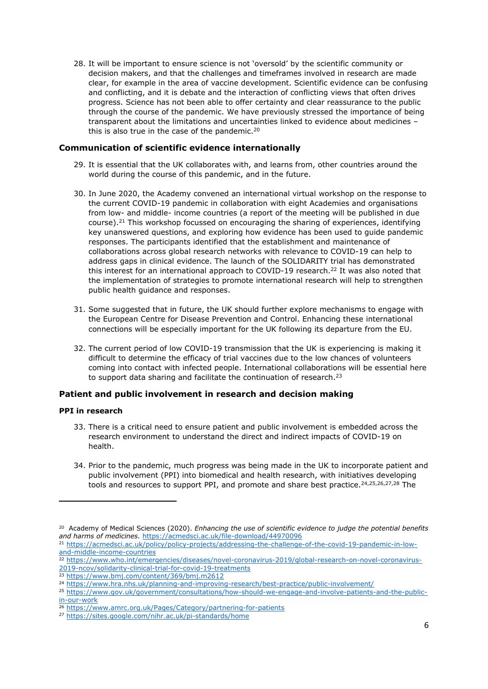28. It will be important to ensure science is not 'oversold' by the scientific community or decision makers, and that the challenges and timeframes involved in research are made clear, for example in the area of vaccine development. Scientific evidence can be confusing and conflicting, and it is debate and the interaction of conflicting views that often drives progress. Science has not been able to offer certainty and clear reassurance to the public through the course of the pandemic. We have previously stressed the importance of being transparent about the limitations and uncertainties linked to evidence about medicines – this is also true in the case of the pandemic.<sup>20</sup>

# **Communication of scientific evidence internationally**

- 29. It is essential that the UK collaborates with, and learns from, other countries around the world during the course of this pandemic, and in the future.
- 30. In June 2020, the Academy convened an international virtual workshop on the response to the current COVID-19 pandemic in collaboration with eight Academies and organisations from low- and middle- income countries (a report of the meeting will be published in due course).<sup>21</sup> This workshop focussed on encouraging the sharing of experiences, identifying key unanswered questions, and exploring how evidence has been used to guide pandemic responses. The participants identified that the establishment and maintenance of collaborations across global research networks with relevance to COVID-19 can help to address gaps in clinical evidence. The launch of the SOLIDARITY trial has demonstrated this interest for an international approach to COVID-19 research.<sup>22</sup> It was also noted that the implementation of strategies to promote international research will help to strengthen public health guidance and responses.
- 31. Some suggested that in future, the UK should further explore mechanisms to engage with the European Centre for Disease Prevention and Control. Enhancing these international connections will be especially important for the UK following its departure from the EU.
- 32. The current period of low COVID-19 transmission that the UK is experiencing is making it difficult to determine the efficacy of trial vaccines due to the low chances of volunteers coming into contact with infected people. International collaborations will be essential here to support data sharing and facilitate the continuation of research.<sup>23</sup>

# **Patient and public involvement in research and decision making**

# **PPI in research**

- 33. There is a critical need to ensure patient and public involvement is embedded across the research environment to understand the direct and indirect impacts of COVID-19 on health.
- 34. Prior to the pandemic, much progress was being made in the UK to incorporate patient and public involvement (PPI) into biomedical and health research, with initiatives developing tools and resources to support PPI, and promote and share best practice.<sup>24,25,26,27,28</sup> The

<sup>20</sup> Academy of Medical Sciences (2020). *Enhancing the use of scientific evidence to judge the potential benefits and harms of medicines.* <https://acmedsci.ac.uk/file-download/44970096>

<sup>21</sup> [https://acmedsci.ac.uk/policy/policy-projects/addressing-the-challenge-of-the-covid-19-pandemic-in-low](https://acmedsci.ac.uk/policy/policy-projects/addressing-the-challenge-of-the-covid-19-pandemic-in-low-and-middle-income-countries)[and-middle-income-countries](https://acmedsci.ac.uk/policy/policy-projects/addressing-the-challenge-of-the-covid-19-pandemic-in-low-and-middle-income-countries)

<sup>22</sup> [https://www.who.int/emergencies/diseases/novel-coronavirus-2019/global-research-on-novel-coronavirus-](https://www.who.int/emergencies/diseases/novel-coronavirus-2019/global-research-on-novel-coronavirus-2019-ncov/solidarity-clinical-trial-for-covid-19-treatments)[2019-ncov/solidarity-clinical-trial-for-covid-19-treatments](https://www.who.int/emergencies/diseases/novel-coronavirus-2019/global-research-on-novel-coronavirus-2019-ncov/solidarity-clinical-trial-for-covid-19-treatments)

<sup>23</sup> <https://www.bmj.com/content/369/bmj.m2612>

<sup>24</sup> <https://www.hra.nhs.uk/planning-and-improving-research/best-practice/public-involvement/>

<sup>25</sup> [https://www.gov.uk/government/consultations/how-should-we-engage-and-involve-patients-and-the-public](https://www.gov.uk/government/consultations/how-should-we-engage-and-involve-patients-and-the-public-in-our-work)[in-our-work](https://www.gov.uk/government/consultations/how-should-we-engage-and-involve-patients-and-the-public-in-our-work)

<sup>26</sup> <https://www.amrc.org.uk/Pages/Category/partnering-for-patients>

<sup>27</sup> <https://sites.google.com/nihr.ac.uk/pi-standards/home>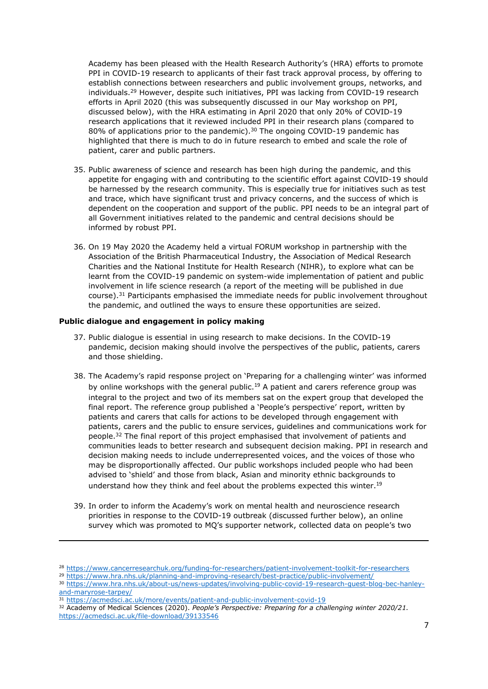Academy has been pleased with the Health Research Authority's (HRA) efforts to promote PPI in COVID-19 research to applicants of their fast track approval process, by offering to establish connections between researchers and public involvement groups, networks, and individuals.<sup>29</sup> However, despite such initiatives, PPI was lacking from COVID-19 research efforts in April 2020 (this was subsequently discussed in our May workshop on PPI, discussed below), with the HRA estimating in April 2020 that only 20% of COVID-19 research applications that it reviewed included PPI in their research plans (compared to 80% of applications prior to the pandemic).<sup>30</sup> The ongoing COVID-19 pandemic has highlighted that there is much to do in future research to embed and scale the role of patient, carer and public partners.

- 35. Public awareness of science and research has been high during the pandemic, and this appetite for engaging with and contributing to the scientific effort against COVID-19 should be harnessed by the research community. This is especially true for initiatives such as test and trace, which have significant trust and privacy concerns, and the success of which is dependent on the cooperation and support of the public. PPI needs to be an integral part of all Government initiatives related to the pandemic and central decisions should be informed by robust PPI.
- 36. On 19 May 2020 the Academy held a virtual FORUM workshop in partnership with the Association of the British Pharmaceutical Industry, the Association of Medical Research Charities and the National Institute for Health Research (NIHR), to explore what can be learnt from the COVID-19 pandemic on system-wide implementation of patient and public involvement in life science research (a report of the meeting will be published in due course).<sup>31</sup> Participants emphasised the immediate needs for public involvement throughout the pandemic, and outlined the ways to ensure these opportunities are seized.

#### **Public dialogue and engagement in policy making**

- 37. Public dialogue is essential in using research to make decisions. In the COVID-19 pandemic, decision making should involve the perspectives of the public, patients, carers and those shielding.
- 38. The Academy's rapid response project on 'Preparing for a challenging winter' was informed by online workshops with the general public.<sup>[19](#page-4-0)</sup> A patient and carers reference group was integral to the project and two of its members sat on the expert group that developed the final report. The reference group published a 'People's perspective' report, written by patients and carers that calls for actions to be developed through engagement with patients, carers and the public to ensure services, guidelines and communications work for people.<sup>32</sup> The final report of this project emphasised that involvement of patients and communities leads to better research and subsequent decision making. PPI in research and decision making needs to include underrepresented voices, and the voices of those who may be disproportionally affected. Our public workshops included people who had been advised to 'shield' and those from black, Asian and minority ethnic backgrounds to understand how they think and feel about the problems expected this winter.<sup>[19](#page-4-0)</sup>
- 39. In order to inform the Academy's work on mental health and neuroscience research priorities in response to the COVID-19 outbreak (discussed further below), an online survey which was promoted to MQ's supporter network, collected data on people's two

<sup>28</sup> <https://www.cancerresearchuk.org/funding-for-researchers/patient-involvement-toolkit-for-researchers>

<sup>29</sup> <https://www.hra.nhs.uk/planning-and-improving-research/best-practice/public-involvement/>

<sup>30</sup> [https://www.hra.nhs.uk/about-us/news-updates/involving-public-covid-19-research-guest-blog-bec-hanley](https://www.hra.nhs.uk/about-us/news-updates/involving-public-covid-19-research-guest-blog-bec-hanley-and-maryrose-tarpey/)[and-maryrose-tarpey/](https://www.hra.nhs.uk/about-us/news-updates/involving-public-covid-19-research-guest-blog-bec-hanley-and-maryrose-tarpey/)

<sup>31</sup> <https://acmedsci.ac.uk/more/events/patient-and-public-involvement-covid-19>

<sup>32</sup> Academy of Medical Sciences (2020). *People's Perspective: Preparing for a challenging winter 2020/21.*  <https://acmedsci.ac.uk/file-download/39133546>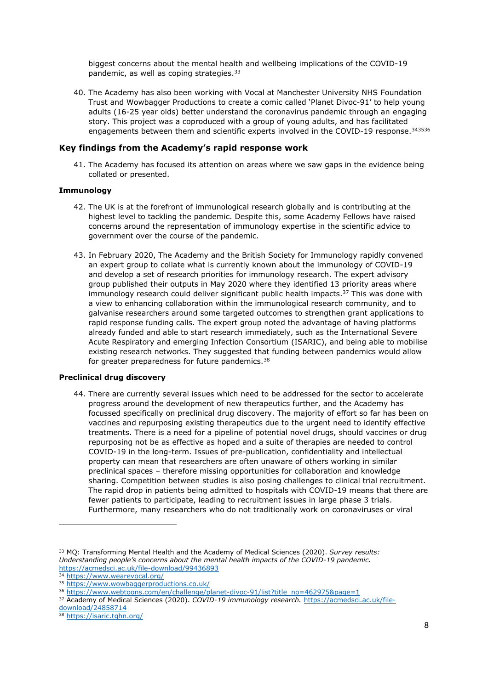biggest concerns about the mental health and wellbeing implications of the COVID-19 pandemic, as well as coping strategies.<sup>33</sup>

40. The Academy has also been working with Vocal at Manchester University NHS Foundation Trust and Wowbagger Productions to create a comic called 'Planet Divoc-91' to help young adults (16-25 year olds) better understand the coronavirus pandemic through an engaging story. This project was a coproduced with a group of young adults, and has facilitated engagements between them and scientific experts involved in the COVID-19 response.<sup>343536</sup>

### **Key findings from the Academy's rapid response work**

41. The Academy has focused its attention on areas where we saw gaps in the evidence being collated or presented.

### **Immunology**

- 42. The UK is at the forefront of immunological research globally and is contributing at the highest level to tackling the pandemic. Despite this, some Academy Fellows have raised concerns around the representation of immunology expertise in the scientific advice to government over the course of the pandemic.
- 43. In February 2020, The Academy and the British Society for Immunology rapidly convened an expert group to collate what is currently known about the immunology of COVID-19 and develop a set of research priorities for immunology research. The expert advisory group published their outputs in May 2020 where they identified 13 priority areas where immunology research could deliver significant public health impacts.<sup>37</sup> This was done with a view to enhancing collaboration within the immunological research community, and to galvanise researchers around some targeted outcomes to strengthen grant applications to rapid response funding calls. The expert group noted the advantage of having platforms already funded and able to start research immediately, such as the International Severe Acute Respiratory and emerging Infection Consortium (ISARIC), and being able to mobilise existing research networks. They suggested that funding between pandemics would allow for greater preparedness for future pandemics.<sup>38</sup>

### **Preclinical drug discovery**

44. There are currently several issues which need to be addressed for the sector to accelerate progress around the development of new therapeutics further, and the Academy has focussed specifically on preclinical drug discovery. The majority of effort so far has been on vaccines and repurposing existing therapeutics due to the urgent need to identify effective treatments. There is a need for a pipeline of potential novel drugs, should vaccines or drug repurposing not be as effective as hoped and a suite of therapies are needed to control COVID-19 in the long-term. Issues of pre-publication, confidentiality and intellectual property can mean that researchers are often unaware of others working in similar preclinical spaces – therefore missing opportunities for collaboration and knowledge sharing. Competition between studies is also posing challenges to clinical trial recruitment. The rapid drop in patients being admitted to hospitals with COVID-19 means that there are fewer patients to participate, leading to recruitment issues in large phase 3 trials. Furthermore, many researchers who do not traditionally work on coronaviruses or viral

<sup>33</sup> MQ: Transforming Mental Health and the Academy of Medical Sciences (2020). *Survey results: Understanding people's concerns about the mental health impacts of the COVID-19 pandemic.* <https://acmedsci.ac.uk/file-download/99436893>

<sup>34</sup> <https://www.wearevocal.org/>

<sup>35</sup> <https://www.wowbaggerproductions.co.uk/>

<sup>36</sup> [https://www.webtoons.com/en/challenge/planet-divoc-91/list?title\\_no=462975&page=1](https://www.webtoons.com/en/challenge/planet-divoc-91/list?title_no=462975&page=1)

<sup>37</sup> Academy of Medical Sciences (2020). *COVID-19 immunology research.* [https://acmedsci.ac.uk/file](https://acmedsci.ac.uk/file-download/24858714)[download/24858714](https://acmedsci.ac.uk/file-download/24858714)

<sup>38</sup> <https://isaric.tghn.org/>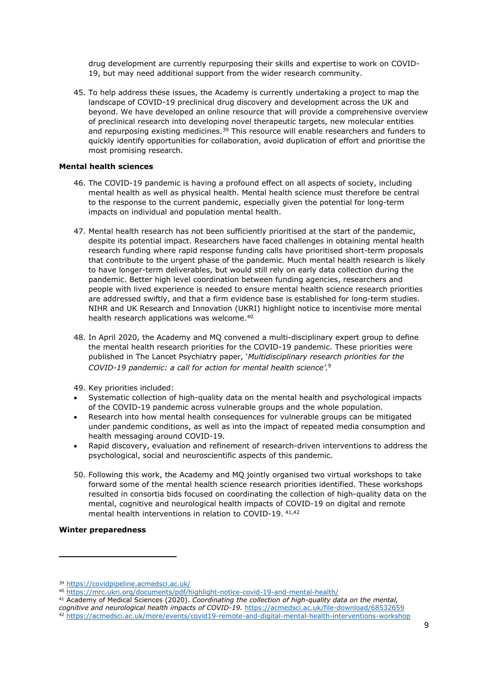drug development are currently repurposing their skills and expertise to work on COVID-19, but may need additional support from the wider research community.

45. To help address these issues, the Academy is currently undertaking a project to map the landscape of COVID-19 preclinical drug discovery and development across the UK and beyond. We have developed an online resource that will provide a comprehensive overview of preclinical research into developing novel therapeutic targets, new molecular entities and repurposing existing medicines.<sup>39</sup> This resource will enable researchers and funders to quickly identify opportunities for collaboration, avoid duplication of effort and prioritise the most promising research.

### **Mental health sciences**

- 46. The COVID-19 pandemic is having a profound effect on all aspects of society, including mental health as well as physical health. Mental health science must therefore be central to the response to the current pandemic, especially given the potential for long-term impacts on individual and population mental health.
- 47. Mental health research has not been sufficiently prioritised at the start of the pandemic, despite its potential impact. Researchers have faced challenges in obtaining mental health research funding where rapid response funding calls have prioritised short-term proposals that contribute to the urgent phase of the pandemic. Much mental health research is likely to have longer-term deliverables, but would still rely on early data collection during the pandemic. Better high level coordination between funding agencies, researchers and people with lived experience is needed to ensure mental health science research priorities are addressed swiftly, and that a firm evidence base is established for long-term studies. NIHR and UK Research and Innovation (UKRI) highlight notice to incentivise more mental health research applications was welcome.<sup>40</sup>
- 48. In April 2020, the Academy and MQ convened a multi-disciplinary expert group to define the mental health research priorities for the COVID-19 pandemic. These priorities were published in The Lancet Psychiatry paper, '*Multidisciplinary research priorities for the COVID-19 pandemic: a call for action for mental health science'.*[9](#page-2-0)
- 49. Key priorities included:
- Systematic collection of high-quality data on the mental health and psychological impacts of the COVID-19 pandemic across vulnerable groups and the whole population.
- Research into how mental health consequences for vulnerable groups can be mitigated under pandemic conditions, as well as into the impact of repeated media consumption and health messaging around COVID-19.
- Rapid discovery, evaluation and refinement of research-driven interventions to address the psychological, social and neuroscientific aspects of this pandemic.
- 50. Following this work, the Academy and MQ jointly organised two virtual workshops to take forward some of the mental health science research priorities identified. These workshops resulted in consortia bids focused on coordinating the collection of high-quality data on the mental, cognitive and neurological health impacts of COVID-19 on digital and remote mental health interventions in relation to COVID-19. 41,42

# **Winter preparedness**

<sup>39</sup> <https://covidpipeline.acmedsci.ac.uk/>

<sup>40</sup> <https://mrc.ukri.org/documents/pdf/highlight-notice-covid-19-and-mental-health/>

<sup>41</sup> Academy of Medical Sciences (2020). *Coordinating the collection of high-quality data on the mental, cognitive and neurological health impacts of COVID-19.* <https://acmedsci.ac.uk/file-download/68532659> <sup>42</sup> <https://acmedsci.ac.uk/more/events/covid19-remote-and-digital-mental-health-interventions-workshop>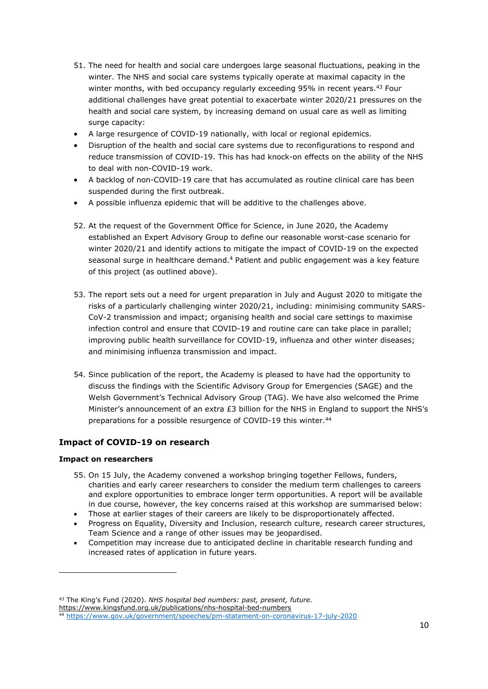- 51. The need for health and social care undergoes large seasonal fluctuations, peaking in the winter. The NHS and social care systems typically operate at maximal capacity in the winter months, with bed occupancy regularly exceeding 95% in recent years.<sup>43</sup> Four additional challenges have great potential to exacerbate winter 2020/21 pressures on the health and social care system, by increasing demand on usual care as well as limiting surge capacity:
- A large resurgence of COVID-19 nationally, with local or regional epidemics.
- Disruption of the health and social care systems due to reconfigurations to respond and reduce transmission of COVID-19. This has had knock-on effects on the ability of the NHS to deal with non-COVID-19 work.
- A backlog of non-COVID-19 care that has accumulated as routine clinical care has been suspended during the first outbreak.
- A possible influenza epidemic that will be additive to the challenges above.
- 52. At the request of the Government Office for Science, in June 2020, the Academy established an Expert Advisory Group to define our reasonable worst-case scenario for winter 2020/21 and identify actions to mitigate the impact of COVID-19 on the expected seasonal surge in healthcare demand.[4](#page-1-0) Patient and public engagement was a key feature of this project (as outlined above).
- 53. The report sets out a need for urgent preparation in July and August 2020 to mitigate the risks of a particularly challenging winter 2020/21, including: minimising community SARS-CoV-2 transmission and impact; organising health and social care settings to maximise infection control and ensure that COVID-19 and routine care can take place in parallel; improving public health surveillance for COVID-19, influenza and other winter diseases; and minimising influenza transmission and impact.
- 54. Since publication of the report, the Academy is pleased to have had the opportunity to discuss the findings with the Scientific Advisory Group for Emergencies (SAGE) and the Welsh Government's Technical Advisory Group (TAG). We have also welcomed the Prime Minister's announcement of an extra £3 billion for the NHS in England to support the NHS's preparations for a possible resurgence of COVID-19 this winter.<sup>44</sup>

# **Impact of COVID-19 on research**

# **Impact on researchers**

- 55. On 15 July, the Academy convened a workshop bringing together Fellows, funders, charities and early career researchers to consider the medium term challenges to careers and explore opportunities to embrace longer term opportunities. A report will be available in due course, however, the key concerns raised at this workshop are summarised below:
- Those at earlier stages of their careers are likely to be disproportionately affected.
- Progress on Equality, Diversity and Inclusion, research culture, research career structures, Team Science and a range of other issues may be jeopardised.
- Competition may increase due to anticipated decline in charitable research funding and increased rates of application in future years.

<sup>43</sup> The King's Fund (2020). *NHS hospital bed numbers: past, present, future*. <https://www.kingsfund.org.uk/publications/nhs-hospital-bed-numbers>

<sup>44</sup> <https://www.gov.uk/government/speeches/pm-statement-on-coronavirus-17-july-2020>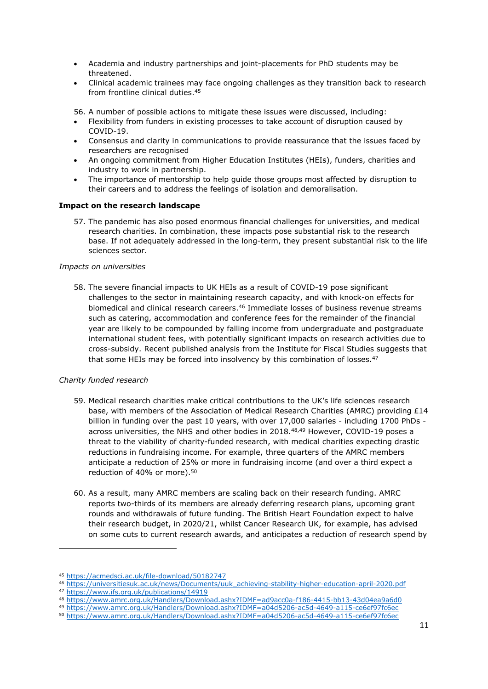- Academia and industry partnerships and joint-placements for PhD students may be threatened.
- Clinical academic trainees may face ongoing challenges as they transition back to research from frontline clinical duties.<sup>45</sup>

56. A number of possible actions to mitigate these issues were discussed, including:

- Flexibility from funders in existing processes to take account of disruption caused by COVID-19.
- Consensus and clarity in communications to provide reassurance that the issues faced by researchers are recognised
- An ongoing commitment from Higher Education Institutes (HEIs), funders, charities and industry to work in partnership.
- The importance of mentorship to help guide those groups most affected by disruption to their careers and to address the feelings of isolation and demoralisation.

# **Impact on the research landscape**

57. The pandemic has also posed enormous financial challenges for universities, and medical research charities. In combination, these impacts pose substantial risk to the research base. If not adequately addressed in the long-term, they present substantial risk to the life sciences sector.

### *Impacts on universities*

58. The severe financial impacts to UK HEIs as a result of COVID-19 pose significant challenges to the sector in maintaining research capacity, and with knock-on effects for biomedical and clinical research careers.<sup>46</sup> Immediate losses of business revenue streams such as catering, accommodation and conference fees for the remainder of the financial year are likely to be compounded by falling income from undergraduate and postgraduate international student fees, with potentially significant impacts on research activities due to cross-subsidy. Recent published analysis from the Institute for Fiscal Studies suggests that that some HEIs may be forced into insolvency by this combination of losses.<sup>47</sup>

### *Charity funded research*

- 59. Medical research charities make critical contributions to the UK's life sciences research base, with members of the Association of Medical Research Charities (AMRC) providing £14 billion in funding over the past 10 years, with over 17,000 salaries - including 1700 PhDs across universities, the NHS and other bodies in 2018.48,49 However, COVID-19 poses a threat to the viability of charity-funded research, with medical charities expecting drastic reductions in fundraising income. For example, three quarters of the AMRC members anticipate a reduction of 25% or more in fundraising income (and over a third expect a reduction of 40% or more).<sup>50</sup>
- 60. As a result, many AMRC members are scaling back on their research funding. AMRC reports two-thirds of its members are already deferring research plans, upcoming grant rounds and withdrawals of future funding. The British Heart Foundation expect to halve their research budget, in 2020/21, whilst Cancer Research UK, for example, has advised on some cuts to current research awards, and anticipates a reduction of research spend by

<sup>45</sup> <https://acmedsci.ac.uk/file-download/50182747>

<sup>46</sup> [https://universitiesuk.ac.uk/news/Documents/uuk\\_achieving-stability-higher-education-april-2020.pdf](https://universitiesuk.ac.uk/news/Documents/uuk_achieving-stability-higher-education-april-2020.pdf)

<sup>47</sup> <https://www.ifs.org.uk/publications/14919>

<sup>48</sup> <https://www.amrc.org.uk/Handlers/Download.ashx?IDMF=ad9acc0a-f186-4415-bb13-43d04ea9a6d0>

<sup>49</sup> <https://www.amrc.org.uk/Handlers/Download.ashx?IDMF=a04d5206-ac5d-4649-a115-ce6ef97fc6ec>

<sup>50</sup> <https://www.amrc.org.uk/Handlers/Download.ashx?IDMF=a04d5206-ac5d-4649-a115-ce6ef97fc6ec>